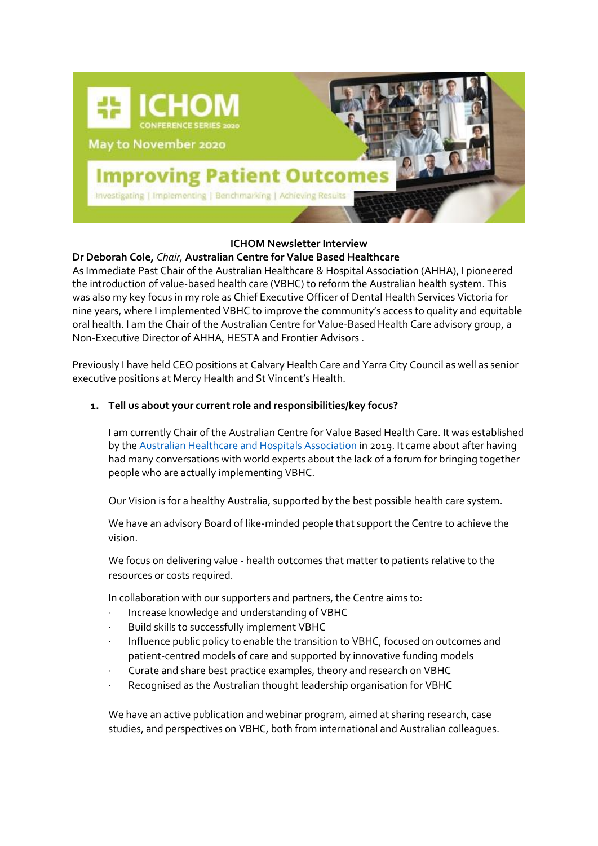

# **ICHOM Newsletter Interview**

## **Dr Deborah Cole,** *Chair,* **Australian Centre for Value Based Healthcare**

As Immediate Past Chair of the Australian Healthcare & Hospital Association (AHHA), I pioneered the introduction of value-based health care (VBHC) to reform the Australian health system. This was also my key focus in my role as Chief Executive Officer of Dental Health Services Victoria for nine years, where I implemented VBHC to improve the community's access to quality and equitable oral health. I am the Chair of the Australian Centre for Value-Based Health Care advisory group, a Non-Executive Director of AHHA, HESTA and Frontier Advisors .

Previously I have held CEO positions at Calvary Health Care and Yarra City Council as well as senior executive positions at Mercy Health and St Vincent's Health.

## **1. Tell us about your current role and responsibilities/key focus?**

I am currently Chair of the Australian Centre for Value Based Health Care. It was established by the [Australian Healthcare and Hospitals Association](https://www.ahha.asn.au/) in 2019. It came about after having had many conversations with world experts about the lack of a forum for bringing together people who are actually implementing VBHC.

Our Vision is for a healthy Australia, supported by the best possible health care system.

We have an advisory Board of like-minded people that support the Centre to achieve the vision.

We focus on delivering value - health outcomes that matter to patients relative to the resources or costs required.

In collaboration with our supporters and partners, the Centre aims to:

- · Increase knowledge and understanding of VBHC
- Build skills to successfully implement VBHC
- Influence public policy to enable the transition to VBHC, focused on outcomes and patient-centred models of care and supported by innovative funding models
- Curate and share best practice examples, theory and research on VBHC
- · Recognised as the Australian thought leadership organisation for VBHC

We have an active publication and webinar program, aimed at sharing research, case studies, and perspectives on VBHC, both from international and Australian colleagues.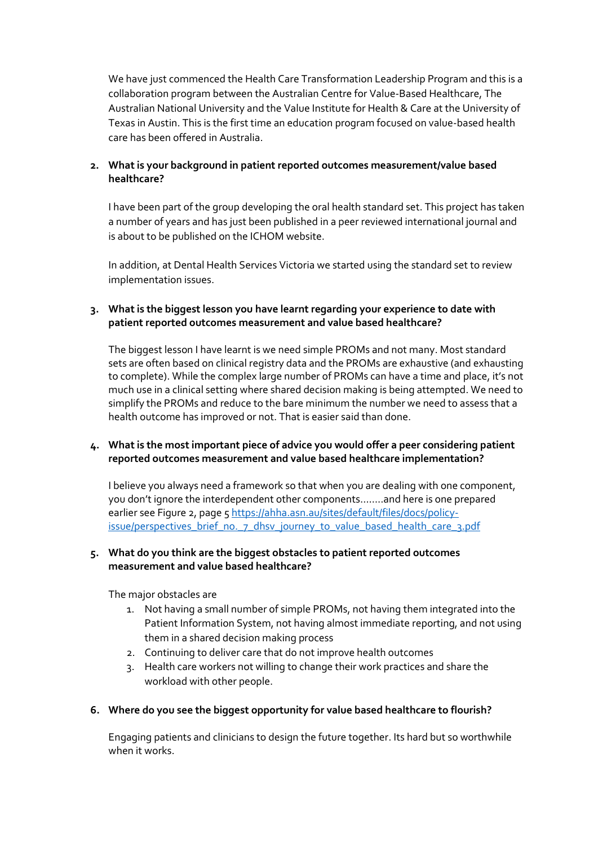We have just commenced the Health Care Transformation Leadership Program and this is a collaboration program between the Australian Centre for Value-Based Healthcare, The Australian National University and the Value Institute for Health & Care at the University of Texas in Austin. This is the first time an education program focused on value-based health care has been offered in Australia.

# **2. What is your background in patient reported outcomes measurement/value based healthcare?**

I have been part of the group developing the oral health standard set. This project has taken a number of years and has just been published in a peer reviewed international journal and is about to be published on the ICHOM website.

In addition, at Dental Health Services Victoria we started using the standard set to review implementation issues.

## **3. What is the biggest lesson you have learnt regarding your experience to date with patient reported outcomes measurement and value based healthcare?**

The biggest lesson I have learnt is we need simple PROMs and not many. Most standard sets are often based on clinical registry data and the PROMs are exhaustive (and exhausting to complete). While the complex large number of PROMs can have a time and place, it's not much use in a clinical setting where shared decision making is being attempted. We need to simplify the PROMs and reduce to the bare minimum the number we need to assess that a health outcome has improved or not. That is easier said than done.

#### **4. What is the most important piece of advice you would offer a peer considering patient reported outcomes measurement and value based healthcare implementation?**

I believe you always need a framework so that when you are dealing with one component, you don't ignore the interdependent other components……..and here is one prepared earlier see Figure 2, page [5 https://ahha.asn.au/sites/default/files/docs/policy](https://ahha.asn.au/sites/default/files/docs/policy-issue/perspectives_brief_no._7_dhsv_journey_to_value_based_health_care_3.pdf)[issue/perspectives\\_brief\\_no.\\_7\\_dhsv\\_journey\\_to\\_value\\_based\\_health\\_care\\_3.pdf](https://ahha.asn.au/sites/default/files/docs/policy-issue/perspectives_brief_no._7_dhsv_journey_to_value_based_health_care_3.pdf)

## **5. What do you think are the biggest obstacles to patient reported outcomes measurement and value based healthcare?**

The major obstacles are

- 1. Not having a small number of simple PROMs, not having them integrated into the Patient Information System, not having almost immediate reporting, and not using them in a shared decision making process
- 2. Continuing to deliver care that do not improve health outcomes
- 3. Health care workers not willing to change their work practices and share the workload with other people.

## **6. Where do you see the biggest opportunity for value based healthcare to flourish?**

Engaging patients and clinicians to design the future together. Its hard but so worthwhile when it works.